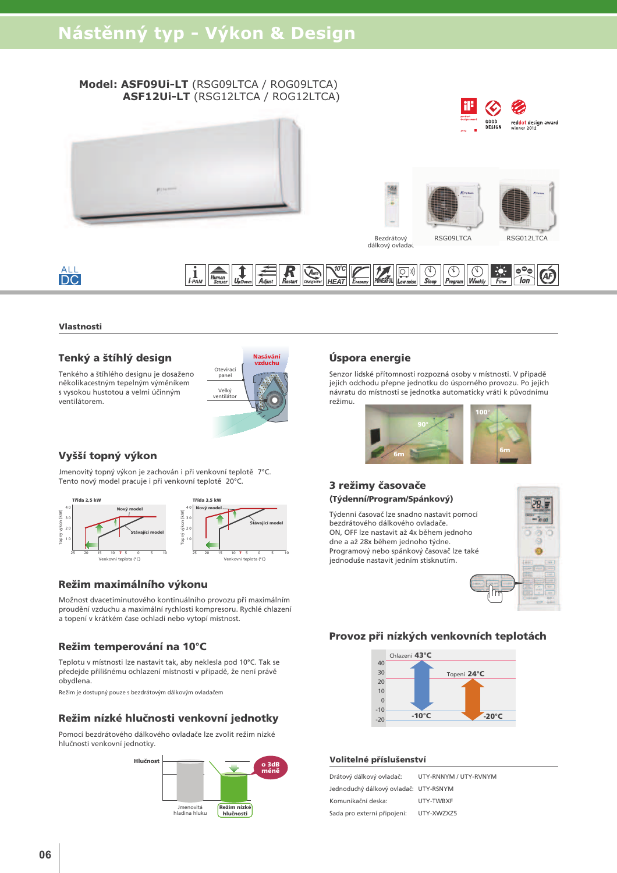#### Model: ASF09Ui-LT (RSG09LTCA / ROG09LTCA) ASF12Ui-LT (RSG12LTCA / ROG12LTCA)





Bezdrátový dálkový ovlada RSG012LTCA

# **ALL**<br>DC

#### $\boxed{\underbrace{\lambda_{\text{triv}}}}_{\text{Changeover}}\boxed{\underbrace{\lambda^{00}\text{C}}_{\text{HEAT}}}\boxed{\underbrace{\lambda_{\text{Economy}}}}_{\text{Economy}}\boxed{\underbrace{\text{C}}_{\text{10}}}}_{\text{POWERFUL}}\boxed{\underbrace{\text{C}}_{\text{Slope}}}\boxed{\underbrace{\text{C}}_{\text{Sleep}}}\boxed{\text{C}}_{\text{Program}}$  $\overline{\bigcirc_{\text{WeakI}}}$ EX.  $\frac{R}{R_{\text{other}}}$

#### Vlastnosti

## Tenký a štíhlý design

Tenkého a štíhlého designu je dosaženo několikacestným tepelným výměníkem s vysokou hustotou a veľmi účinným ventilátorem.



# Vyšší topný výkon

Jmenovitý topný výkon je zachován i při venkovní teplotě 7°C. Tento nový model pracuje i při venkovní teplotě 20°C.



## Režim maximálního výkonu

Možnost dvacetiminutového kontinuálního provozu při maximálním proudění vzduchu a maximální rychlosti kompresoru. Rychlé chlazení a topení v krátkém čase ochladí nebo vytopí místnost.

## Režim temperování na 10°C

Teplotu v místnosti lze nastavit tak, aby neklesla pod 10°C. Tak se předejde přílišnému ochlazení místnosti v případě, že není právě obydlena.

Režim je dostupný pouze s bezdrátovým dálkovým ovladačem

## Režim nízké hlučnosti venkovní jednotky

Pomocí bezdrátového dálkového ovladače lze zvolit režim nízké hlučnosti venkovní jednotky



## Úspora energie

Senzor lidské přítomnosti rozpozná osoby v místnosti. V případě jejich odchodu přepne jednotku do úsporného provozu. Po jejich návratu do místnosti se jednotka automaticky vrátí k původnímu režimu.



## 3 režimy časovače (Týdenní/Program/Spánkový)

Týdenní časovač lze snadno nastavit pomocí bezdrátového dálkového ovladače. ON, OFF lze nastavit až 4x během jednoho dne a až 28x během jednoho týdne. Programový nebo spánkový časovač lze také jednoduše nastavit jedním stisknutím.



## Provoz při nízkých venkovních teplotách



#### Volitelné příslušenství

| Drátový dálkový ovladač:              | UTY-RNNYM / UTY-RVNYM |
|---------------------------------------|-----------------------|
| Jednoduchý dálkový ovladač: UTY-RSNYM |                       |
| Komunikační deska:                    | UTY-TWBXF             |
| Sada pro externí připojení:           | UTY-XWZXZ5            |